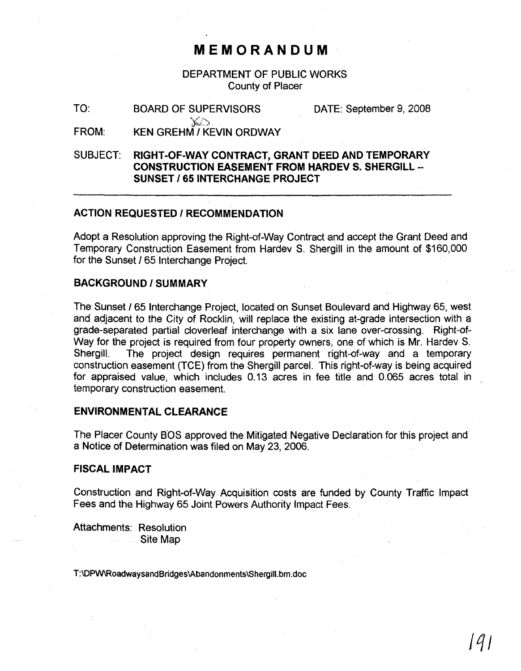# **MEMORANDUM**

DEPARTMENT OF PUBLIC WORKS County of Placer

| TO:          | <b>BOARD OF SUPERVISORS</b>           | DATE: September 9, 2008 |  |
|--------------|---------------------------------------|-------------------------|--|
| <b>FRAME</b> | <b>IZELLABELILLIZESHLILLABELLILLI</b> |                         |  |

FROM: KEN GREHM I KEVIN ORDWAY

SUBJECT: **RIGHT-OF-WAY CONTRACT, GRANT DEED AND TEMPORARY CONSTRUCTION EASEMENT FROM HARDEV S. SHERGILL** - **SUNSET I 65 INTERCHANGE PROJECT**

#### **ACTION REQUESTED I RECOMMENDATION**

Adopt a Resolution approving the Right-of-Way Contract and accept the Grant Deed and Temporary Construction Easement from Hardev S. Shergill in the amount of \$160,000 for the Sunset / 65 Interchange Project.

## **BACKGROUND/SUMMARY**

The Sunset /65 Interchange Project, located on Sunset Boulevard and Highway 65, west and adjacent to the City of Rocklin, will replace the existing at-grade intersection with a grade-separated partial cloverleaf interchange with a six lane over-crossing. Right-of-Way for the project is required from four property owners, one of which is Mr. Hardev S. Shergill. The project design requires permanent right-of-way and a temporary construction easement (TCE) from the Shergill parcel. This right-of-way is being acquired for appraised value, which includes 0.13 acres in fee title and 0.065 acres total in temporary construction easement.

## **ENVIRONMENTAL CLEARANCE**

The Placer County B'OS approved the Mitigated Negative Declaration for this project and. a Notice of Determination was filed on May 23, 2006.

#### **FISCAL IMPACT**

Construction and Right-of-Way Acquisition costs are funded by County Traffic Impact Fees and the Highway 65 Joint Powers Authority Impact Fees.

Attachments: Resolution Site Map

T:\DPW\RoadwaysandBridges\Abandonments\Shergill.bm.doc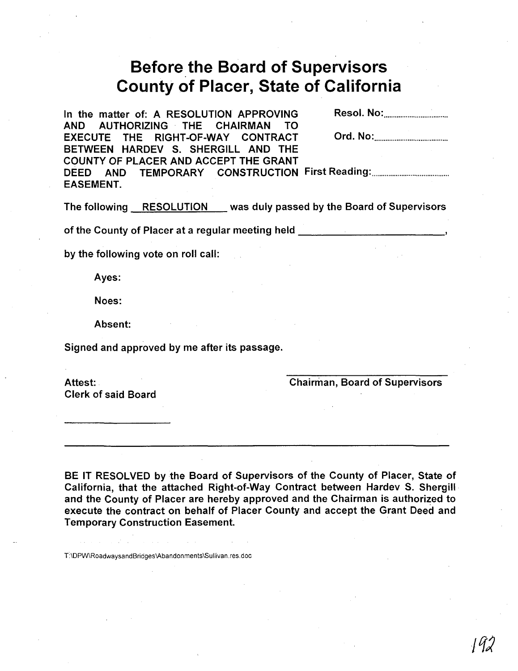# Before.the **Board of Supervisors County of Placer, State of California**

In the matter of: A RESOLUTION APPROVING AND AUTHORIZING THE CHAIRMAN TO EXECUTE THE RIGHT-OF-WAY CONTRACT BETWEEN HARDEV S. SHERGILL AND THE COUNTY OF PLACER AND ACCEPT THE GRANT DEED AND TEMPORARY CONSTRUCTION First Reading: . EASEMENT. Resol. No: . Ord. No: <u>................................</u>

The following RESOLUTION was duly passed by the Board of Supervisors

of the County of Placer at a regular meeting held

by the following vote on roll call:

Ayes:

Noes:

Absent:

Signed and approved by me after its passage.

Chairman, Board of Supervisors

Clerk of said Board

Attest:

BE IT RESOLVED by the Board of Supervisors of the County of Placer, State of California, that the attached Right-of-Way Contract between Hardev S. Shergill· and the County of Placer are hereby approved and the Chairman is authorized to execute the contract on behalf of Placer County and accept the Grant Deed and Temporary Construction Easement.

T:\DPw\RoadwaysandBridges\Abandonments\Sullivan.res.doc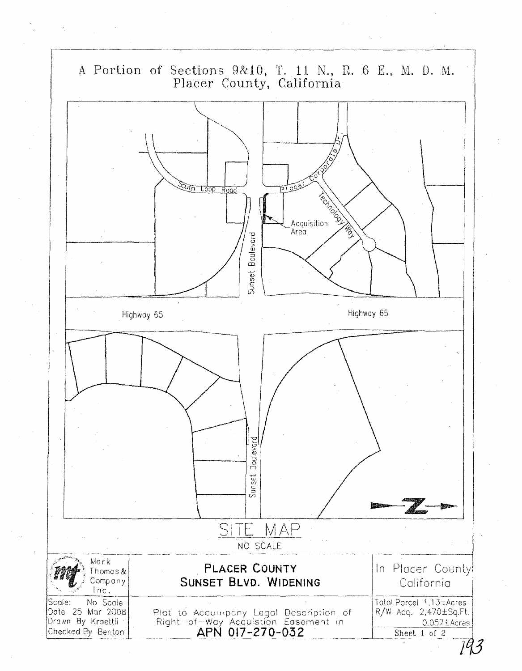